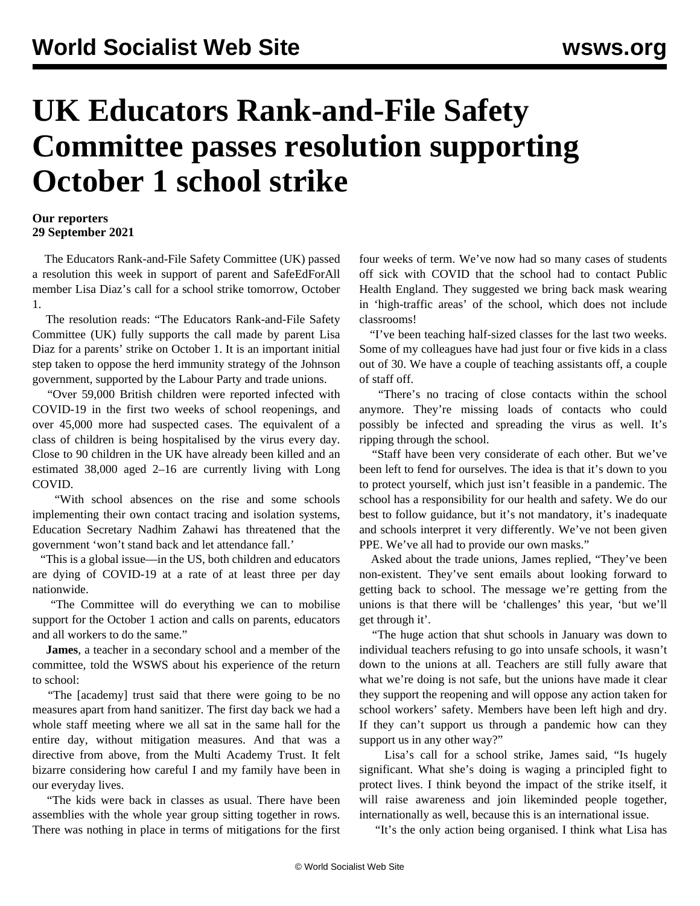## **UK Educators Rank-and-File Safety Committee passes resolution supporting October 1 school strike**

## **Our reporters 29 September 2021**

 The Educators Rank-and-File Safety Committee (UK) passed a resolution this week in support of parent and SafeEdForAll member Lisa Diaz's [call](/en/articles/2021/09/25/lisa-s25.html) for a school strike tomorrow, October 1.

 The resolution reads: "The Educators Rank-and-File Safety Committee (UK) fully supports the call made by parent Lisa Diaz for a parents' strike on October 1. It is an important initial step taken to oppose the herd immunity strategy of the Johnson government, supported by the Labour Party and trade unions.

 "Over 59,000 British children were reported infected with COVID-19 in the first two weeks of school reopenings, and over 45,000 more had suspected cases. The equivalent of a class of children is being hospitalised by the virus every day. Close to 90 children in the UK have already been killed and an estimated 38,000 aged 2–16 are currently living with Long COVID.

 "With school absences on the rise and some schools implementing their own contact tracing and isolation systems, Education Secretary Nadhim Zahawi has threatened that the government 'won't stand back and let attendance fall.'

 "This is a global issue—in the US, both children and educators are dying of COVID-19 at a rate of at least three per day nationwide.

 "The Committee will do everything we can to mobilise support for the October 1 action and calls on parents, educators and all workers to do the same."

 **James**, a teacher in a secondary school and a member of the committee, told the WSWS about his experience of the return to school:

 "The [academy] trust said that there were going to be no measures apart from hand sanitizer. The first day back we had a whole staff meeting where we all sat in the same hall for the entire day, without mitigation measures. And that was a directive from above, from the Multi Academy Trust. It felt bizarre considering how careful I and my family have been in our everyday lives.

 "The kids were back in classes as usual. There have been assemblies with the whole year group sitting together in rows. There was nothing in place in terms of mitigations for the first four weeks of term. We've now had so many cases of students off sick with COVID that the school had to contact Public Health England. They suggested we bring back mask wearing in 'high-traffic areas' of the school, which does not include classrooms!

 "I've been teaching half-sized classes for the last two weeks. Some of my colleagues have had just four or five kids in a class out of 30. We have a couple of teaching assistants off, a couple of staff off.

 "There's no tracing of close contacts within the school anymore. They're missing loads of contacts who could possibly be infected and spreading the virus as well. It's ripping through the school.

 "Staff have been very considerate of each other. But we've been left to fend for ourselves. The idea is that it's down to you to protect yourself, which just isn't feasible in a pandemic. The school has a responsibility for our health and safety. We do our best to follow guidance, but it's not mandatory, it's inadequate and schools interpret it very differently. We've not been given PPE. We've all had to provide our own masks."

 Asked about the trade unions, James replied, "They've been non-existent. They've sent emails about looking forward to getting back to school. The message we're getting from the unions is that there will be 'challenges' this year, 'but we'll get through it'.

 "The huge action that shut schools in January was down to individual teachers refusing to go into unsafe schools, it wasn't down to the unions at all. Teachers are still fully aware that what we're doing is not safe, but the unions have made it clear they support the reopening and will oppose any action taken for school workers' safety. Members have been left high and dry. If they can't support us through a pandemic how can they support us in any other way?"

 Lisa's call for a school strike, James said, "Is hugely significant. What she's doing is waging a principled fight to protect lives. I think beyond the impact of the strike itself, it will raise awareness and join likeminded people together, internationally as well, because this is an international issue.

"It's the only action being organised. I think what Lisa has